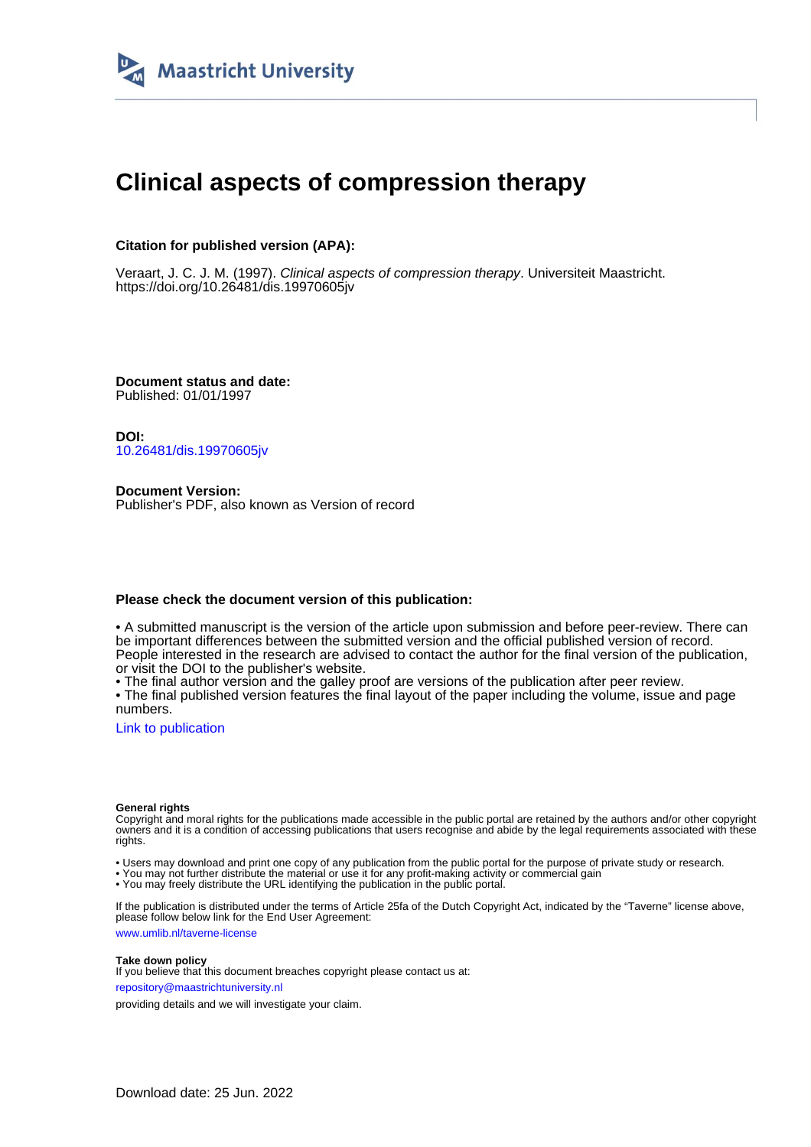

# **Clinical aspects of compression therapy**

## **Citation for published version (APA):**

Veraart, J. C. J. M. (1997). Clinical aspects of compression therapy. Universiteit Maastricht. <https://doi.org/10.26481/dis.19970605jv>

**Document status and date:** Published: 01/01/1997

**DOI:** [10.26481/dis.19970605jv](https://doi.org/10.26481/dis.19970605jv)

**Document Version:** Publisher's PDF, also known as Version of record

### **Please check the document version of this publication:**

• A submitted manuscript is the version of the article upon submission and before peer-review. There can be important differences between the submitted version and the official published version of record. People interested in the research are advised to contact the author for the final version of the publication, or visit the DOI to the publisher's website.

• The final author version and the galley proof are versions of the publication after peer review.

• The final published version features the final layout of the paper including the volume, issue and page numbers.

[Link to publication](https://cris.maastrichtuniversity.nl/en/publications/e477eed8-3f78-47a2-9e44-e5548d2650d9)

#### **General rights**

Copyright and moral rights for the publications made accessible in the public portal are retained by the authors and/or other copyright owners and it is a condition of accessing publications that users recognise and abide by the legal requirements associated with these rights.

• Users may download and print one copy of any publication from the public portal for the purpose of private study or research.

• You may not further distribute the material or use it for any profit-making activity or commercial gain

• You may freely distribute the URL identifying the publication in the public portal.

If the publication is distributed under the terms of Article 25fa of the Dutch Copyright Act, indicated by the "Taverne" license above, please follow below link for the End User Agreement:

www.umlib.nl/taverne-license

#### **Take down policy**

If you believe that this document breaches copyright please contact us at: repository@maastrichtuniversity.nl

providing details and we will investigate your claim.